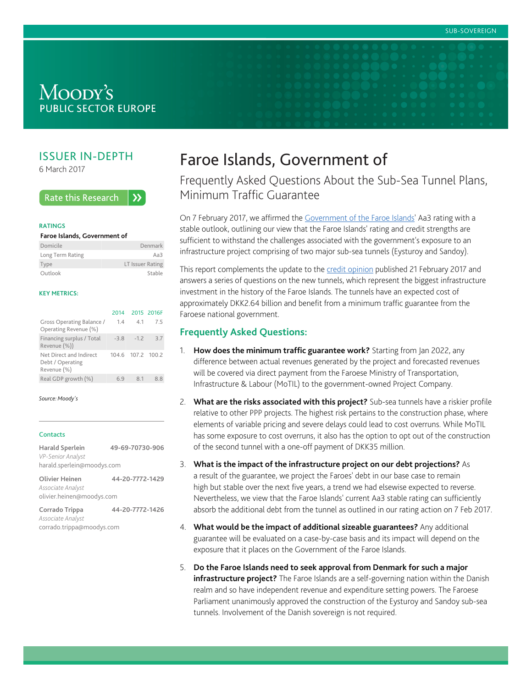# MOODY'S **PUBLIC SECTOR EUROPE**

# ISSUER IN-DEPTH

6 March 2017

#### **Rate this Research**  $\lambda$

#### **RATINGS**

#### **Faroe Islands, Government of**

| Domicile         | Denmark          |
|------------------|------------------|
| Long Term Rating | Aa $3$           |
| Type             | LT Issuer Rating |
| Outlook          | Stable           |

#### **KEY METRICS:**

|                                                            | 2014  | 2015 2016F     |     |
|------------------------------------------------------------|-------|----------------|-----|
| Gross Operating Balance /<br>Operating Revenue (%)         | 1.4   | 41             | -75 |
| Financing surplus / Total<br>Revenue (%))                  | $-38$ | $-12$          | 37  |
| Net Direct and Indirect<br>Debt / Operating<br>Revenue (%) |       | 1046 1072 1002 |     |
| Real GDP growth (%)                                        | 6.9   | 8.1            |     |

#### *Source: Moody's*

## **Contacts**

**Harald Sperlein 49-69-70730-906** *VP-Senior Analyst* harald.sperlein@moodys.com

**Olivier Heinen 44-20-7772-1429** *Associate Analyst* olivier.heinen@moodys.com

**Corrado Trippa 44-20-7772-1426** *Associate Analyst* corrado.trippa@moodys.com

# Faroe Islands, Government of

Frequently Asked Questions About the Sub-Sea Tunnel Plans, Minimum Traffic Guarantee

On 7 February 2017, we affirmed the [Government of the Faroe Islands](https://www.moodys.com/credit-ratings/Faroe-Islands-Government-of-credit-rating-820828907)' Aa3 rating with a stable outlook, outlining our view that the Faroe Islands' rating and credit strengths are sufficient to withstand the challenges associated with the government's exposure to an infrastructure project comprising of two major sub-sea tunnels (Eysturoy and Sandoy).

This report complements the update to the [credit opinion](https://www.moodys.com/researchdocumentcontentpage.aspx?docid=PBC_1058517) published 21 February 2017 and answers a series of questions on the new tunnels, which represent the biggest infrastructure investment in the history of the Faroe Islands. The tunnels have an expected cost of approximately DKK2.64 billion and benefit from a minimum traffic guarantee from the Faroese national government.

# **Frequently Asked Questions:**

- 1. **How does the minimum traffic guarantee work?** Starting from Jan 2022, any difference between actual revenues generated by the project and forecasted revenues will be covered via direct payment from the Faroese Ministry of Transportation, Infrastructure & Labour (MoTIL) to the government-owned Project Company.
- 2. **What are the risks associated with this project?** Sub-sea tunnels have a riskier profile relative to other PPP projects. The highest risk pertains to the construction phase, where elements of variable pricing and severe delays could lead to cost overruns. While MoTIL has some exposure to cost overruns, it also has the option to opt out of the construction of the second tunnel with a one-off payment of DKK35 million.
- 3. **What is the impact of the infrastructure project on our debt projections?** As a result of the guarantee, we project the Faroes' debt in our base case to remain high but stable over the next five years, a trend we had elsewise expected to reverse. Nevertheless, we view that the Faroe Islands' current Aa3 stable rating can sufficiently absorb the additional debt from the tunnel as outlined in our rating action on 7 Feb 2017.
- 4. **What would be the impact of additional sizeable guarantees?** Any additional guarantee will be evaluated on a case-by-case basis and its impact will depend on the exposure that it places on the Government of the Faroe Islands.
- 5. **Do the Faroe Islands need to seek approval from Denmark for such a major infrastructure project?** The Faroe Islands are a self-governing nation within the Danish realm and so have independent revenue and expenditure setting powers. The Faroese Parliament unanimously approved the construction of the Eysturoy and Sandoy sub-sea tunnels. Involvement of the Danish sovereign is not required.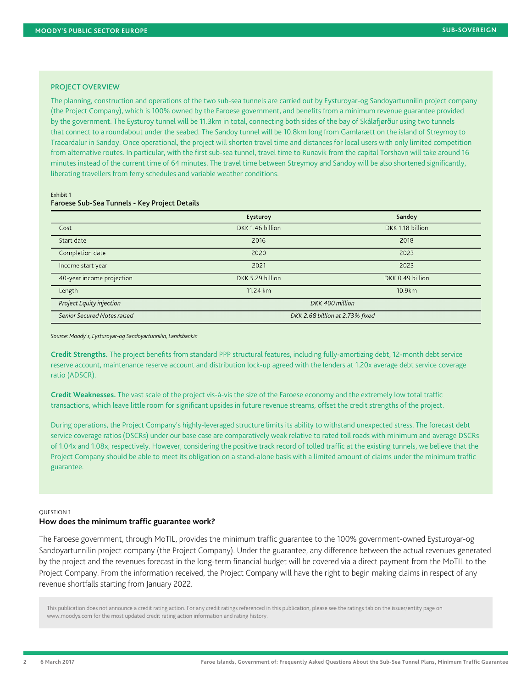## PROJECT OVERVIEW

The planning, construction and operations of the two sub-sea tunnels are carried out by Eysturoyar-og Sandoyartunnilin project company (the Project Company), which is 100% owned by the Faroese government, and benefits from a minimum revenue guarantee provided by the government. The Eysturoy tunnel will be 11.3km in total, connecting both sides of the bay of Skálafjørður using two tunnels that connect to a roundabout under the seabed. The Sandoy tunnel will be 10.8km long from Gamlarætt on the island of Streymoy to Traoardalur in Sandoy. Once operational, the project will shorten travel time and distances for local users with only limited competition from alternative routes. In particular, with the first sub-sea tunnel, travel time to Runavik from the capital Torshavn will take around 16 minutes instead of the current time of 64 minutes. The travel time between Streymoy and Sandoy will be also shortened significantly, liberating travellers from ferry schedules and variable weather conditions.

#### Exhibit 1 Faroese Sub-Sea Tunnels - Key Project Details

|                             | Eysturoy                        | Sandoy           |  |
|-----------------------------|---------------------------------|------------------|--|
| Cost                        | DKK 1.46 billion                | DKK 1.18 billion |  |
| Start date                  | 2016                            | 2018             |  |
| Completion date             | 2020                            | 2023             |  |
| Income start year           | 2021                            | 2023             |  |
| 40-year income projection   | DKK 5.29 billion                | DKK 0.49 billion |  |
| Length                      | 11.24 km                        | 10.9km           |  |
| Project Equity injection    | DKK 400 million                 |                  |  |
| Senior Secured Notes raised | DKK 2.68 billion at 2.73% fixed |                  |  |

*Source: Moody's, Eysturoyar-og Sandoyartunnilin, Landsbankin*

**Credit Strengths.** The project benefits from standard PPP structural features, including fully-amortizing debt, 12-month debt service reserve account, maintenance reserve account and distribution lock-up agreed with the lenders at 1.20x average debt service coverage ratio (ADSCR).

**Credit Weaknesses.** The vast scale of the project vis-à-vis the size of the Faroese economy and the extremely low total traffic transactions, which leave little room for significant upsides in future revenue streams, offset the credit strengths of the project.

During operations, the Project Company's highly-leveraged structure limits its ability to withstand unexpected stress. The forecast debt service coverage ratios (DSCRs) under our base case are comparatively weak relative to rated toll roads with minimum and average DSCRs of 1.04x and 1.08x, respectively. However, considering the positive track record of tolled traffic at the existing tunnels, we believe that the Project Company should be able to meet its obligation on a stand-alone basis with a limited amount of claims under the minimum traffic guarantee.

#### QUESTION 1 **How does the minimum traffic guarantee work?**

revenue shortfalls starting from January 2022.

The Faroese government, through MoTIL, provides the minimum traffic guarantee to the 100% government-owned Eysturoyar-og Sandoyartunnilin project company (the Project Company). Under the guarantee, any difference between the actual revenues generated by the project and the revenues forecast in the long-term financial budget will be covered via a direct payment from the MoTIL to the Project Company. From the information received, the Project Company will have the right to begin making claims in respect of any

This publication does not announce a credit rating action. For any credit ratings referenced in this publication, please see the ratings tab on the issuer/entity page on www.moodys.com for the most updated credit rating action information and rating history.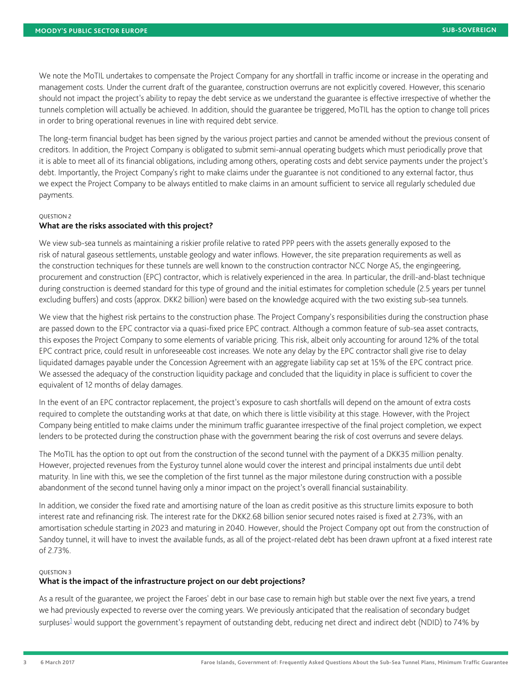We note the MoTIL undertakes to compensate the Project Company for any shortfall in traffic income or increase in the operating and management costs. Under the current draft of the guarantee, construction overruns are not explicitly covered. However, this scenario should not impact the project's ability to repay the debt service as we understand the guarantee is effective irrespective of whether the tunnels completion will actually be achieved. In addition, should the guarantee be triggered, MoTIL has the option to change toll prices in order to bring operational revenues in line with required debt service.

The long-term financial budget has been signed by the various project parties and cannot be amended without the previous consent of creditors. In addition, the Project Company is obligated to submit semi-annual operating budgets which must periodically prove that it is able to meet all of its financial obligations, including among others, operating costs and debt service payments under the project's debt. Importantly, the Project Company's right to make claims under the guarantee is not conditioned to any external factor, thus we expect the Project Company to be always entitled to make claims in an amount sufficient to service all regularly scheduled due payments.

## QUESTION 2

## **What are the risks associated with this project?**

We view sub-sea tunnels as maintaining a riskier profile relative to rated PPP peers with the assets generally exposed to the risk of natural gaseous settlements, unstable geology and water inflows. However, the site preparation requirements as well as the construction techniques for these tunnels are well known to the construction contractor NCC Norge AS, the engingeering, procurement and construction (EPC) contractor, which is relatively experienced in the area. In particular, the drill-and-blast technique during construction is deemed standard for this type of ground and the initial estimates for completion schedule (2.5 years per tunnel excluding buffers) and costs (approx. DKK2 billion) were based on the knowledge acquired with the two existing sub-sea tunnels.

We view that the highest risk pertains to the construction phase. The Project Company's responsibilities during the construction phase are passed down to the EPC contractor via a quasi-fixed price EPC contract. Although a common feature of sub-sea asset contracts, this exposes the Project Company to some elements of variable pricing. This risk, albeit only accounting for around 12% of the total EPC contract price, could result in unforeseeable cost increases. We note any delay by the EPC contractor shall give rise to delay liquidated damages payable under the Concession Agreement with an aggregate liability cap set at 15% of the EPC contract price. We assessed the adequacy of the construction liquidity package and concluded that the liquidity in place is sufficient to cover the equivalent of 12 months of delay damages.

In the event of an EPC contractor replacement, the project's exposure to cash shortfalls will depend on the amount of extra costs required to complete the outstanding works at that date, on which there is little visibility at this stage. However, with the Project Company being entitled to make claims under the minimum traffic guarantee irrespective of the final project completion, we expect lenders to be protected during the construction phase with the government bearing the risk of cost overruns and severe delays.

The MoTIL has the option to opt out from the construction of the second tunnel with the payment of a DKK35 million penalty. However, projected revenues from the Eysturoy tunnel alone would cover the interest and principal instalments due until debt maturity. In line with this, we see the completion of the first tunnel as the major milestone during construction with a possible abandonment of the second tunnel having only a minor impact on the project's overall financial sustainability.

In addition, we consider the fixed rate and amortising nature of the loan as credit positive as this structure limits exposure to both interest rate and refinancing risk. The interest rate for the DKK2.68 billion senior secured notes raised is fixed at 2.73%, with an amortisation schedule starting in 2023 and maturing in 2040. However, should the Project Company opt out from the construction of Sandoy tunnel, it will have to invest the available funds, as all of the project-related debt has been drawn upfront at a fixed interest rate of 2.73%.

# QUESTION 3

# **What is the impact of the infrastructure project on our debt projections?**

<span id="page-2-0"></span>As a result of the guarantee, we project the Faroes' debt in our base case to remain high but stable over the next five years, a trend we had previously expected to reverse over the coming years. We previously anticipated that the realisation of secondary budget surpluses<sup>[1](#page-6-0)</sup> would support the government's repayment of outstanding debt, reducing net direct and indirect debt (NDID) to 74% by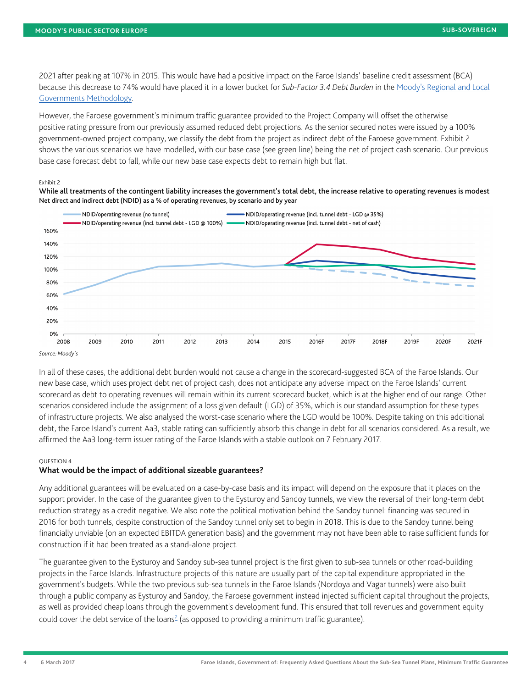2021 after peaking at 107% in 2015. This would have had a positive impact on the Faroe Islands' baseline credit assessment (BCA) because this decrease to 74% would have placed it in a lower bucket for *Sub-Factor 3.4 Debt Burden* in the [Moody's Regional and Local](https://www.moodys.com/researchdocumentcontentpage.aspx?docid=PBC_147779) [Governments Methodology.](https://www.moodys.com/researchdocumentcontentpage.aspx?docid=PBC_147779)

However, the Faroese government's minimum traffic guarantee provided to the Project Company will offset the otherwise positive rating pressure from our previously assumed reduced debt projections. As the senior secured notes were issued by a 100% government-owned project company, we classify the debt from the project as indirect debt of the Faroese government. Exhibit 2 shows the various scenarios we have modelled, with our base case (see green line) being the net of project cash scenario. Our previous base case forecast debt to fall, while our new base case expects debt to remain high but flat.

#### Exhibit 2





*Source: Moody's*

In all of these cases, the additional debt burden would not cause a change in the scorecard-suggested BCA of the Faroe Islands. Our new base case, which uses project debt net of project cash, does not anticipate any adverse impact on the Faroe Islands' current scorecard as debt to operating revenues will remain within its current scorecard bucket, which is at the higher end of our range. Other scenarios considered include the assignment of a loss given default (LGD) of 35%, which is our standard assumption for these types of infrastructure projects. We also analysed the worst-case scenario where the LGD would be 100%. Despite taking on this additional debt, the Faroe Island's current Aa3, stable rating can sufficiently absorb this change in debt for all scenarios considered. As a result, we affirmed the Aa3 long-term issuer rating of the Faroe Islands with a stable outlook on 7 February 2017.

## QUESTION 4

# **What would be the impact of additional sizeable guarantees?**

Any additional guarantees will be evaluated on a case-by-case basis and its impact will depend on the exposure that it places on the support provider. In the case of the guarantee given to the Eysturoy and Sandoy tunnels, we view the reversal of their long-term debt reduction strategy as a credit negative. We also note the political motivation behind the Sandoy tunnel: financing was secured in 2016 for both tunnels, despite construction of the Sandoy tunnel only set to begin in 2018. This is due to the Sandoy tunnel being financially unviable (on an expected EBITDA generation basis) and the government may not have been able to raise sufficient funds for construction if it had been treated as a stand-alone project.

<span id="page-3-0"></span>The guarantee given to the Eysturoy and Sandoy sub-sea tunnel project is the first given to sub-sea tunnels or other road-building projects in the Faroe Islands. Infrastructure projects of this nature are usually part of the capital expenditure appropriated in the government's budgets. While the two previous sub-sea tunnels in the Faroe Islands (Nordoya and Vagar tunnels) were also built through a public company as Eysturoy and Sandoy, the Faroese government instead injected sufficient capital throughout the projects, as well as provided cheap loans through the government's development fund. This ensured that toll revenues and government equity could cover the debt service of the loans<sup>[2](#page-6-1)</sup> (as opposed to providing a minimum traffic guarantee).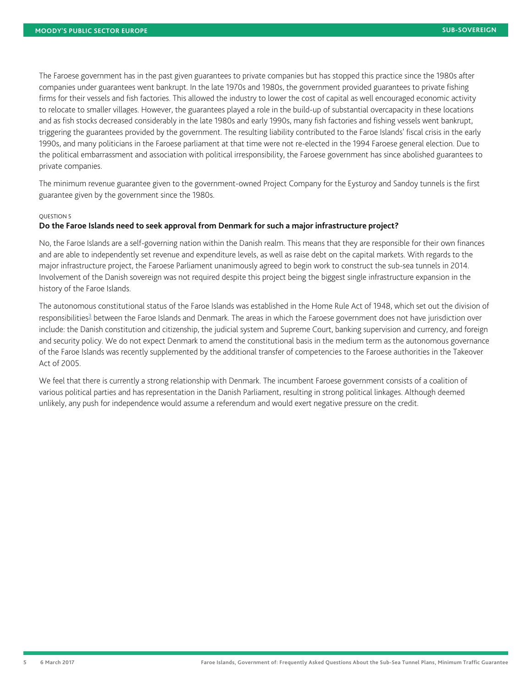The Faroese government has in the past given guarantees to private companies but has stopped this practice since the 1980s after companies under guarantees went bankrupt. In the late 1970s and 1980s, the government provided guarantees to private fishing firms for their vessels and fish factories. This allowed the industry to lower the cost of capital as well encouraged economic activity to relocate to smaller villages. However, the guarantees played a role in the build-up of substantial overcapacity in these locations and as fish stocks decreased considerably in the late 1980s and early 1990s, many fish factories and fishing vessels went bankrupt, triggering the guarantees provided by the government. The resulting liability contributed to the Faroe Islands' fiscal crisis in the early 1990s, and many politicians in the Faroese parliament at that time were not re-elected in the 1994 Faroese general election. Due to the political embarrassment and association with political irresponsibility, the Faroese government has since abolished guarantees to private companies.

The minimum revenue guarantee given to the government-owned Project Company for the Eysturoy and Sandoy tunnels is the first guarantee given by the government since the 1980s.

#### QUESTION 5

# **Do the Faroe Islands need to seek approval from Denmark for such a major infrastructure project?**

No, the Faroe Islands are a self-governing nation within the Danish realm. This means that they are responsible for their own finances and are able to independently set revenue and expenditure levels, as well as raise debt on the capital markets. With regards to the major infrastructure project, the Faroese Parliament unanimously agreed to begin work to construct the sub-sea tunnels in 2014. Involvement of the Danish sovereign was not required despite this project being the biggest single infrastructure expansion in the history of the Faroe Islands.

<span id="page-4-0"></span>The autonomous constitutional status of the Faroe Islands was established in the Home Rule Act of 1948, which set out the division of responsibilities<sup>[3](#page-6-2)</sup> between the Faroe Islands and Denmark. The areas in which the Faroese government does not have jurisdiction over include: the Danish constitution and citizenship, the judicial system and Supreme Court, banking supervision and currency, and foreign and security policy. We do not expect Denmark to amend the constitutional basis in the medium term as the autonomous governance of the Faroe Islands was recently supplemented by the additional transfer of competencies to the Faroese authorities in the Takeover Act of 2005.

We feel that there is currently a strong relationship with Denmark. The incumbent Faroese government consists of a coalition of various political parties and has representation in the Danish Parliament, resulting in strong political linkages. Although deemed unlikely, any push for independence would assume a referendum and would exert negative pressure on the credit.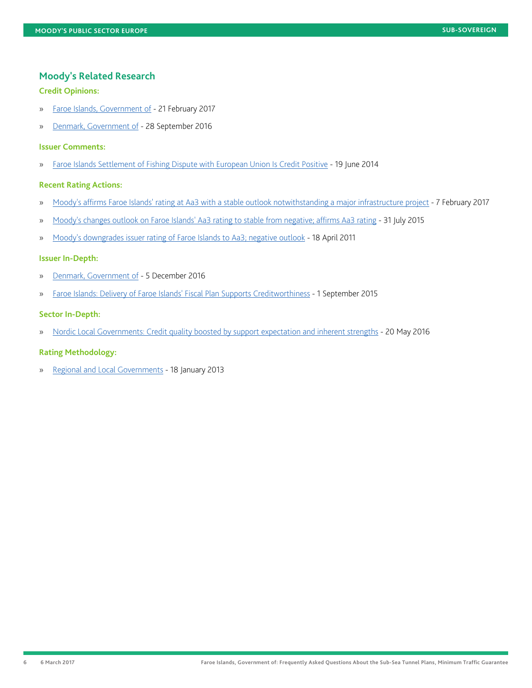# **Moody's Related Research**

# **Credit Opinions:**

- » [Faroe Islands, Government of](https://www.moodys.com/researchdocumentcontentpage.aspx?docid=PBC_1058517) 21 February 2017
- » [Denmark, Government of](https://www.moodys.com/researchdocumentcontentpage.aspx?docid=PBC_1041193)  28 September 2016

## **Issuer Comments:**

» [Faroe Islands Settlement of Fishing Dispute with European Union Is Credit Positive](https://www.moodys.com/research/Faroe-Islands-Settlement-of-Fishing-Dispute-with-European-Union-Is-Issuer-Comment--PBC_172035) - 19 June 2014

# **Recent Rating Actions:**

- » [Moody's affirms Faroe Islands' rating at Aa3 with a stable outlook notwithstanding a major infrastructure project](https://www.moodys.com/research/Moodys-affirms-Faroe-Islands-rating-at-Aa3-with-a-stable--PR_360859)  7 February 2017
- » [Moody's changes outlook on Faroe Islands' Aa3 rating to stable from negative; affirms Aa3 rating](https://www.moodys.com/research/Moodys-changes-outlook-on-Faroe-Islands-Aa3-rating-to-stable--PR_329066) 31 July 2015
- » [Moody's downgrades issuer rating of Faroe Islands to Aa3; negative outlook](https://www.moodys.com/research/Moodys-downgrades-issuer-rating-of-Faroe-Islands-to-Aa3-negative--PR_217636) 18 April 2011

# **Issuer In-Depth:**

- » [Denmark, Government of](https://www.moodys.com/researchdocumentcontentpage.aspx?docid=PBC_1050903)  5 December 2016
- » [Faroe Islands: Delivery of Faroe Islands' Fiscal Plan Supports Creditworthiness](https://www.moodys.com/researchdocumentcontentpage.aspx?docid=PBC_1007947)  1 September 2015

# **Sector In-Depth:**

» [Nordic Local Governments: Credit quality boosted by support expectation and inherent strengths](https://www.moodys.com/researchdocumentcontentpage.aspx?docid=PBC_1028654) - 20 May 2016

# **Rating Methodology:**

» [Regional and Local Governments](https://www.moodys.com/researchdocumentcontentpage.aspx?docid=PBC_147779) - 18 January 2013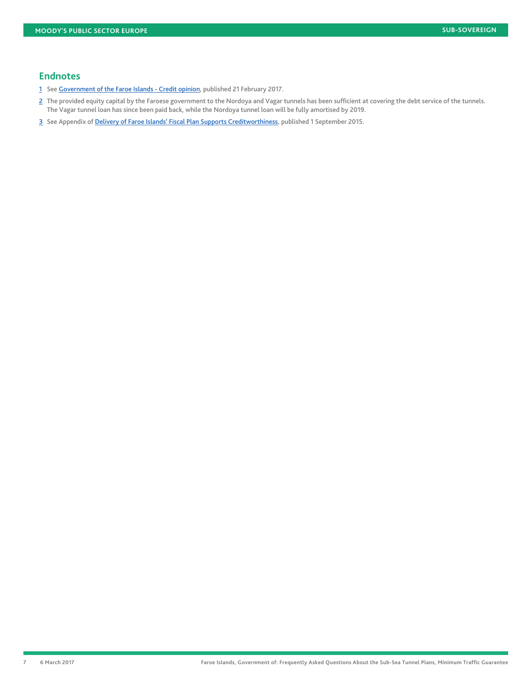# **Endnotes**

- <span id="page-6-0"></span>[1](#page-2-0) See [Government of the Faroe Islands - Credit opinion](https://www.moodys.com/researchdocumentcontentpage.aspx?docid=PBC_1058517), published 21 February 2017.
- <span id="page-6-1"></span>[2](#page-3-0) The provided equity capital by the Faroese government to the Nordoya and Vagar tunnels has been sufficient at covering the debt service of the tunnels. The Vagar tunnel loan has since been paid back, while the Nordoya tunnel loan will be fully amortised by 2019.
- <span id="page-6-2"></span>[3](#page-4-0) See Appendix of [Delivery of Faroe Islands' Fiscal Plan Supports Creditworthiness,](https://www.moodys.com/researchdocumentcontentpage.aspx?docid=PBC_1007947) published 1 September 2015.